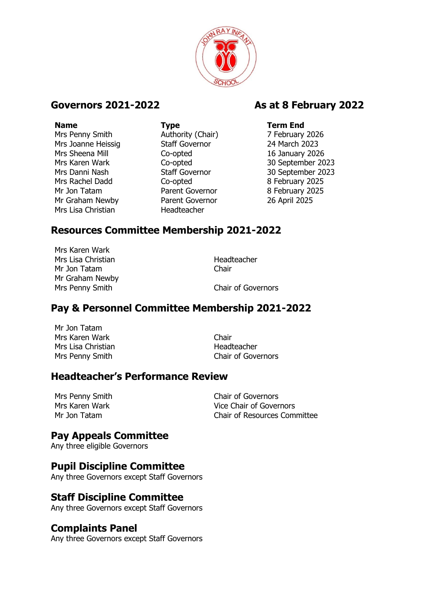

Mrs Penny Smith **Authority (Chair)** 7 February 2026 Mrs Joanne Heissig Staff Governor 24 March 2023 Mrs Sheena Mill Co-opted 16 January 2026 Mrs Karen Wark Co-opted 30 September 2023 Mrs Danni Nash Staff Governor 30 September 2023 Mrs Rachel Dadd Co-opted 8 February 2025 Mr Jon Tatam **Parent Governor** 8 February 2025 Mr Graham Newby Parent Governor 26 April 2025 Mrs Lisa Christian Headteacher

# **Name Type Term End**

## **Governors 2021-2022 As at 8 February 2022**

# **Resources Committee Membership 2021-2022**

Mrs Karen Wark Mrs Lisa Christian **Headteacher** Mr Jon Tatam **Chair** Mr Graham Newby Mrs Penny Smith Chair of Governors

#### **Pay & Personnel Committee Membership 2021-2022**

Mr Jon Tatam Mrs Karen Wark **Chair** Chair Mrs Lisa Christian Nearly Mrs Lisa Christian

Mrs Penny Smith Chair of Governors

#### **Headteacher's Performance Review**

| Mrs Penny Smith | <b>Chair of Governors</b>           |
|-----------------|-------------------------------------|
| Mrs Karen Wark  | Vice Chair of Governors             |
| Mr Jon Tatam    | <b>Chair of Resources Committee</b> |

#### **Pay Appeals Committee**

Any three eligible Governors

#### **Pupil Discipline Committee**

Any three Governors except Staff Governors

#### **Staff Discipline Committee**

Any three Governors except Staff Governors

#### **Complaints Panel**

Any three Governors except Staff Governors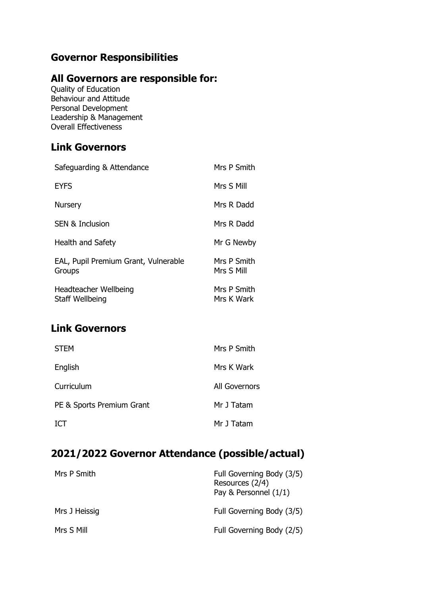# **Governor Responsibilities**

#### **All Governors are responsible for:**

Quality of Education Behaviour and Attitude Personal Development Leadership & Management Overall Effectiveness

## **Link Governors**

| Safeguarding & Attendance                      | Mrs P Smith               |
|------------------------------------------------|---------------------------|
| <b>EYFS</b>                                    | Mrs S Mill                |
| <b>Nursery</b>                                 | Mrs R Dadd                |
| <b>SEN &amp; Inclusion</b>                     | Mrs R Dadd                |
| <b>Health and Safety</b>                       | Mr G Newby                |
| EAL, Pupil Premium Grant, Vulnerable<br>Groups | Mrs P Smith<br>Mrs S Mill |
| Headteacher Wellbeing<br>Staff Wellbeing       | Mrs P Smith<br>Mrs K Wark |

## **Link Governors**

| <b>STEM</b>               | Mrs P Smith   |
|---------------------------|---------------|
| English                   | Mrs K Wark    |
| Curriculum                | All Governors |
| PE & Sports Premium Grant | Mr J Tatam    |
| <b>ICT</b>                | Mr J Tatam    |

# **2021/2022 Governor Attendance (possible/actual)**

| Mrs P Smith   | Full Governing Body (3/5)<br>Resources (2/4)<br>Pay & Personnel (1/1) |
|---------------|-----------------------------------------------------------------------|
| Mrs J Heissig | Full Governing Body (3/5)                                             |
| Mrs S Mill    | Full Governing Body (2/5)                                             |